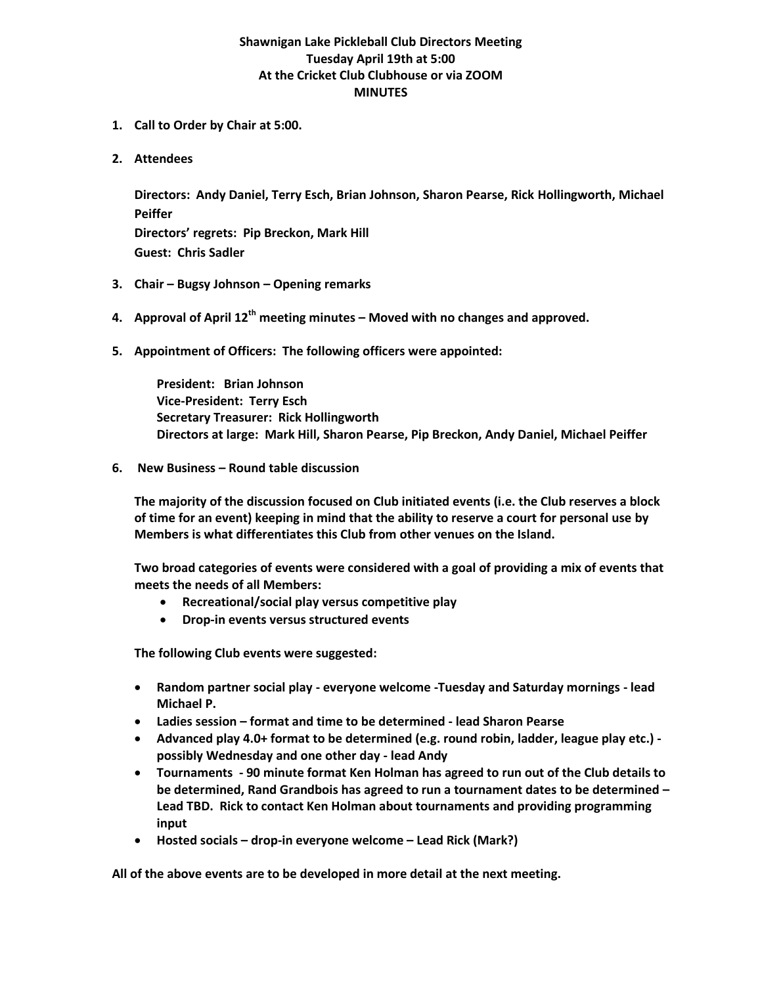## **Shawnigan Lake Pickleball Club Directors Meeting Tuesday April 19th at 5:00 At the Cricket Club Clubhouse or via ZOOM MINUTES**

- **1. Call to Order by Chair at 5:00.**
- **2. Attendees**

**Directors: Andy Daniel, Terry Esch, Brian Johnson, Sharon Pearse, Rick Hollingworth, Michael Peiffer**

**Directors' regrets: Pip Breckon, Mark Hill Guest: Chris Sadler**

- **3. Chair – Bugsy Johnson – Opening remarks**
- **4. Approval of April 12th meeting minutes – Moved with no changes and approved.**
- **5. Appointment of Officers: The following officers were appointed:**

**President: Brian Johnson Vice-President: Terry Esch Secretary Treasurer: Rick Hollingworth Directors at large: Mark Hill, Sharon Pearse, Pip Breckon, Andy Daniel, Michael Peiffer**

**6. New Business – Round table discussion**

**The majority of the discussion focused on Club initiated events (i.e. the Club reserves a block of time for an event) keeping in mind that the ability to reserve a court for personal use by Members is what differentiates this Club from other venues on the Island.** 

**Two broad categories of events were considered with a goal of providing a mix of events that meets the needs of all Members:**

- **Recreational/social play versus competitive play**
- **Drop-in events versus structured events**

**The following Club events were suggested:**

- **Random partner social play - everyone welcome -Tuesday and Saturday mornings - lead Michael P.**
- **Ladies session – format and time to be determined - lead Sharon Pearse**
- **Advanced play 4.0+ format to be determined (e.g. round robin, ladder, league play etc.) possibly Wednesday and one other day - lead Andy**
- **Tournaments - 90 minute format Ken Holman has agreed to run out of the Club details to be determined, Rand Grandbois has agreed to run a tournament dates to be determined – Lead TBD. Rick to contact Ken Holman about tournaments and providing programming input**
- **Hosted socials – drop-in everyone welcome – Lead Rick (Mark?)**

**All of the above events are to be developed in more detail at the next meeting.**